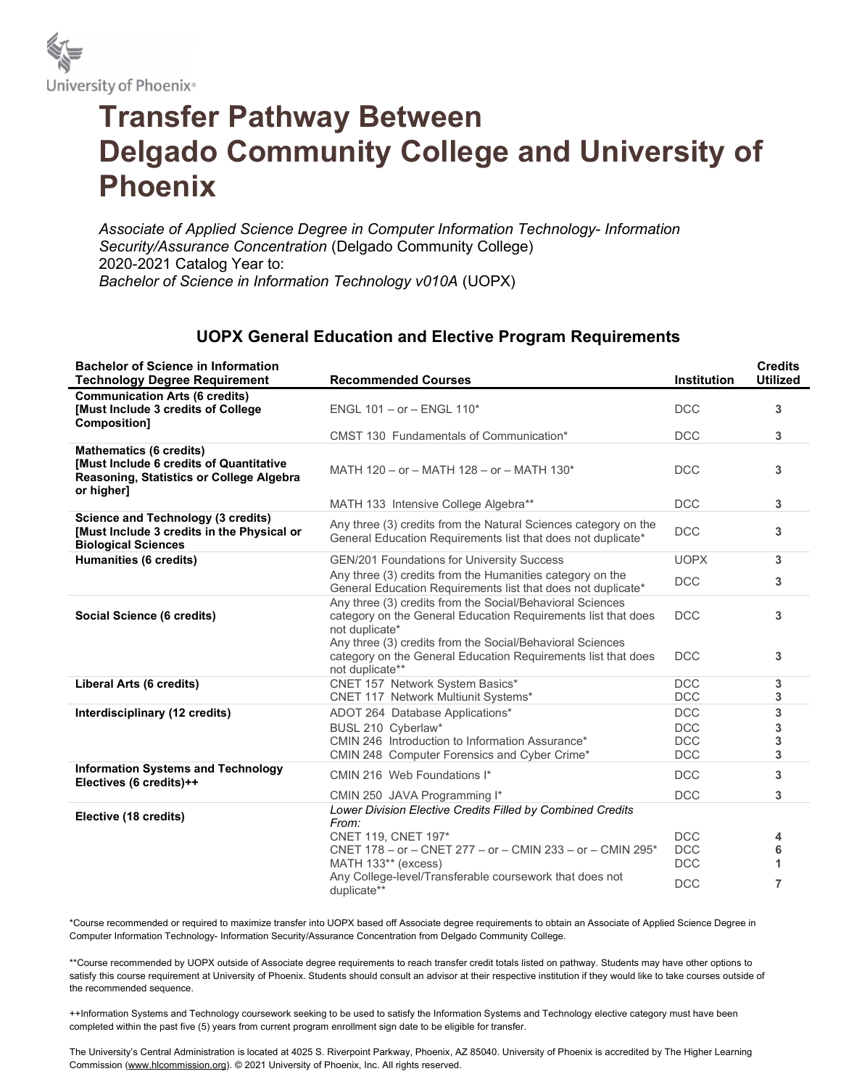

## Transfer Pathway Between Delgado Community College and University of Phoenix

Associate of Applied Science Degree in Computer Information Technology- Information Security/Assurance Concentration (Delgado Community College) 2020-2021 Catalog Year to: Bachelor of Science in Information Technology v010A (UOPX)

## UOPX General Education and Elective Program Requirements

| <b>Bachelor of Science in Information</b><br><b>Technology Degree Requirement</b>                                                          | <b>Recommended Courses</b>                                                                                                                    | <b>Institution</b>       | <b>Credits</b><br><b>Utilized</b> |
|--------------------------------------------------------------------------------------------------------------------------------------------|-----------------------------------------------------------------------------------------------------------------------------------------------|--------------------------|-----------------------------------|
| <b>Communication Arts (6 credits)</b><br>[Must Include 3 credits of College<br>Composition]                                                | ENGL $101 - or - ENGL 110*$                                                                                                                   | <b>DCC</b>               | 3                                 |
|                                                                                                                                            | CMST 130 Fundamentals of Communication*                                                                                                       | <b>DCC</b>               | 3                                 |
| <b>Mathematics (6 credits)</b><br><b>[Must Include 6 credits of Quantitative</b><br>Reasoning, Statistics or College Algebra<br>or higher] | MATH 120 - or - MATH 128 - or - MATH 130*                                                                                                     | <b>DCC</b>               | 3                                 |
|                                                                                                                                            | MATH 133 Intensive College Algebra**                                                                                                          | <b>DCC</b>               | 3                                 |
| <b>Science and Technology (3 credits)</b><br>[Must Include 3 credits in the Physical or<br><b>Biological Sciences</b>                      | Any three (3) credits from the Natural Sciences category on the<br>General Education Requirements list that does not duplicate*               | <b>DCC</b>               | 3                                 |
| Humanities (6 credits)                                                                                                                     | GEN/201 Foundations for University Success                                                                                                    | <b>UOPX</b>              | 3                                 |
|                                                                                                                                            | Any three (3) credits from the Humanities category on the<br>General Education Requirements list that does not duplicate*                     | <b>DCC</b>               | 3                                 |
| Social Science (6 credits)                                                                                                                 | Any three (3) credits from the Social/Behavioral Sciences<br>category on the General Education Requirements list that does<br>not duplicate*  | <b>DCC</b>               | 3                                 |
|                                                                                                                                            | Any three (3) credits from the Social/Behavioral Sciences<br>category on the General Education Requirements list that does<br>not duplicate** | <b>DCC</b>               | 3                                 |
| Liberal Arts (6 credits)                                                                                                                   | CNET 157 Network System Basics*                                                                                                               | <b>DCC</b>               | 3                                 |
|                                                                                                                                            | CNET 117 Network Multiunit Systems*                                                                                                           | <b>DCC</b>               | 3                                 |
| Interdisciplinary (12 credits)                                                                                                             | ADOT 264 Database Applications*                                                                                                               | <b>DCC</b>               | 3                                 |
|                                                                                                                                            | BUSL 210 Cyberlaw*                                                                                                                            | <b>DCC</b>               | 3                                 |
|                                                                                                                                            | CMIN 246 Introduction to Information Assurance*                                                                                               | <b>DCC</b>               | 3                                 |
|                                                                                                                                            | CMIN 248 Computer Forensics and Cyber Crime*                                                                                                  | <b>DCC</b>               | 3                                 |
| <b>Information Systems and Technology</b><br>Electives (6 credits)++                                                                       | CMIN 216 Web Foundations I*                                                                                                                   | <b>DCC</b>               | 3                                 |
|                                                                                                                                            | CMIN 250 JAVA Programming I*                                                                                                                  | <b>DCC</b>               | 3                                 |
| Elective (18 credits)                                                                                                                      | Lower Division Elective Credits Filled by Combined Credits                                                                                    |                          |                                   |
|                                                                                                                                            | From:                                                                                                                                         |                          |                                   |
|                                                                                                                                            | CNET 119, CNET 197*<br>CNET 178 - or - CNET 277 - or - CMIN 233 - or - CMIN 295*                                                              | <b>DCC</b><br><b>DCC</b> | 4                                 |
|                                                                                                                                            | MATH 133** (excess)                                                                                                                           | <b>DCC</b>               | 6<br>1                            |
|                                                                                                                                            | Any College-level/Transferable coursework that does not                                                                                       |                          |                                   |
|                                                                                                                                            | duplicate**                                                                                                                                   | <b>DCC</b>               | $\overline{7}$                    |

\*Course recommended or required to maximize transfer into UOPX based off Associate degree requirements to obtain an Associate of Applied Science Degree in Computer Information Technology- Information Security/Assurance Concentration from Delgado Community College.

\*\*Course recommended by UOPX outside of Associate degree requirements to reach transfer credit totals listed on pathway. Students may have other options to satisfy this course requirement at University of Phoenix. Students should consult an advisor at their respective institution if they would like to take courses outside of the recommended sequence.

++Information Systems and Technology coursework seeking to be used to satisfy the Information Systems and Technology elective category must have been completed within the past five (5) years from current program enrollment sign date to be eligible for transfer.

The University's Central Administration is located at 4025 S. Riverpoint Parkway, Phoenix, AZ 85040. University of Phoenix is accredited by The Higher Learning Commission (www.hlcommission.org). © 2021 University of Phoenix, Inc. All rights reserved.